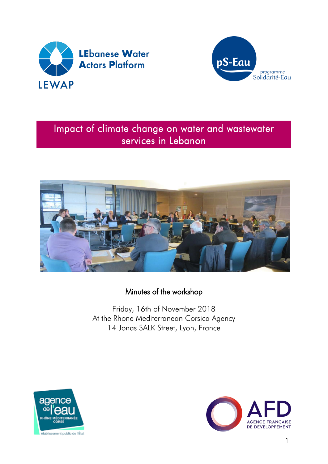



# Impact of climate change on water and wastewater services in Lebanon



Minutes of the workshop

Friday, 16th of November 2018 At the Rhone Mediterranean Corsica Agency 14 Jonas SALK Street, Lyon, France



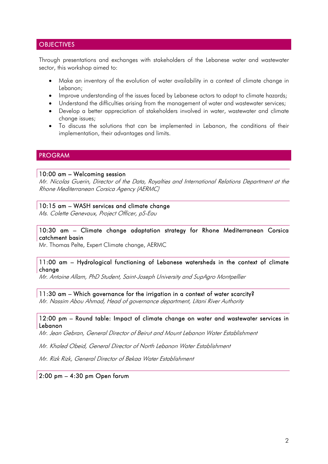## **OBJECTIVES**

Through presentations and exchanges with stakeholders of the Lebanese water and wastewater sector, this workshop aimed to:

- Make an inventory of the evolution of water availability in a context of climate change in Lebanon;
- Improve understanding of the issues faced by Lebanese actors to adapt to climate hazards;
- Understand the difficulties arising from the management of water and wastewater services;
- Develop a better appreciation of stakeholders involved in water, wastewater and climate change issues;
- To discuss the solutions that can be implemented in Lebanon, the conditions of their implementation, their advantages and limits.

## PROGRAM

#### 10:00 am – Welcoming session

Mr. Nicolas Guerin, Director of the Data, Royalties and International Relations Department at the Rhone Mediterranean Corsica Agency (AERMC)

#### 10:15 am – WASH services and climate change

Ms. Colette Genevaux, Project Officer, pS-Eau

## 10:30 am – Climate change adaptation strategy for Rhone Mediterranean Corsica catchment basin

Mr. Thomas Pelte, Expert Climate change, AERMC

#### 11:00 am – Hydrological functioning of Lebanese watersheds in the context of climate change

Mr. Antoine Allam, PhD Student, Saint-Joseph University and SupAgro Montpellier

## 11:30 am – Which governance for the irrigation in a context of water scarcity?

Mr. Nassim Abou Ahmad, Head of governance department, Litani River Authority

#### 12:00 pm – Round table: Impact of climate change on water and wastewater services in Lebanon

Mr. Jean Gebran, General Director of Beirut and Mount Lebanon Water Establishment

Mr. Khaled Obeid, General Director of North Lebanon Water Establishment

Mr. Rizk Rizk, General Director of Bekaa Water Establishment

## 2:00 pm – 4:30 pm Open forum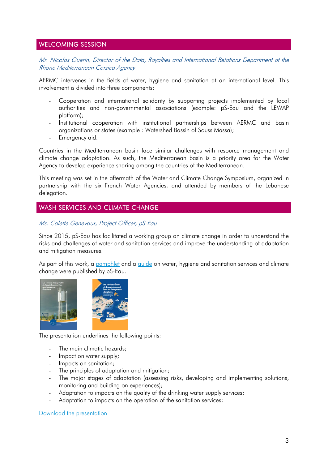## WELCOMING SESSION

Mr. Nicolas Guerin, Director of the Data, Royalties and International Relations Department at the Rhone Mediterranean Corsica Agency

AERMC intervenes in the fields of water, hygiene and sanitation at an international level. This involvement is divided into three components:

- Cooperation and international solidarity by supporting projects implemented by local authorities and non-governmental associations (example: pS-Eau and the LEWAP platform);
- Institutional cooperation with institutional partnerships between AERMC and basin organizations or states (example : Watershed Bassin of Souss Massa);
- Emergency aid.

Countries in the Mediterranean basin face similar challenges with resource management and climate change adaptation. As such, the Mediterranean basin is a priority area for the Water Agency to develop experience sharing among the countries of the Mediterranean.

This meeting was set in the aftermath of the Water and Climate Change Symposium, organized in partnership with the six French Water Agencies, and attended by members of the Lebanese delegation.

## WASH SERVICES AND CLIMATE CHANGE

Ms. Colette Genevaux, Project Officer, pS-Eau

Since 2015, pS-Eau has facilitated a working group on climate change in order to understand the risks and challenges of water and sanitation services and improve the understanding of adaptation and mitigation measures.

As part of this work, a [pamphlet](https://www.pseau.org/outils/ouvrages/ps_eau_wash_services_and_climate_change_2017.pdf) and a quide on water, hygiene and sanitation services and climate change were published by pS-Eau.



The presentation underlines the following points:

- The main climatic hazards;
- Impact on water supply;
- Impacts on sanitation;
- The principles of adaptation and mitigation;
- The major stages of adaptation (assessing risks, developing and implementing solutions, monitoring and building on experiences);
- Adaptation to impacts on the quality of the drinking water supply services;
- Adaptation to impacts on the operation of the sanitation services;

[Download the presentation](https://www.pseau.org/outils/ouvrages/ps_eau_les_services_d_eau_et_d_assainissement_face_au_changement_climatique_ps_eau_2018.pdf)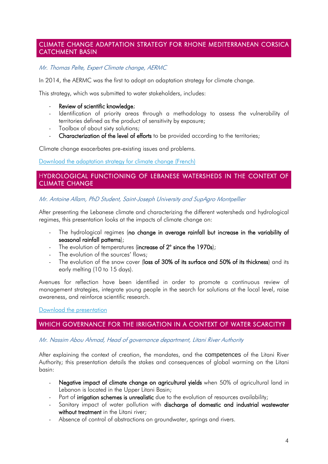## CLIMATE CHANGE ADAPTATION STRATEGY FOR RHONE MEDITERRANEAN CORSICA CATCHMENT BASIN

## Mr. Thomas Pelte, Expert Climate change, AERMC

In 2014, the AERMC was the first to adopt an adaptation strategy for climate change.

This strategy, which was submitted to water stakeholders, includes:

#### - Review of scientific knowledge;

- Identification of priority areas through a methodology to assess the vulnerability of territories defined as the product of sensitivity by exposure;
- Toolbox of about sixty solutions;
- Characterization of the level of efforts to be provided according to the territories;

Climate change exacerbates pre-existing issues and problems.

[Download the adaptation strategy for climate change \(French\)](https://www.eaurmc.fr/jcms/dma_40408/fr/plan-de-bassin-d-adaptation-au-changement-climatique)

## HYDROLOGICAL FUNCTIONING OF LEBANESE WATERSHEDS IN THE CONTEXT OF CLIMATE CHANGE

## Mr. Antoine Allam, PhD Student, Saint-Joseph University and SupAgro Montpellier

After presenting the Lebanese climate and characterizing the different watersheds and hydrological regimes, this presentation looks at the impacts of climate change on:

- The hydrological regimes (no change in average rainfall but increase in the variability of seasonal rainfall patterns);
- The evolution of temperatures (increase of 2° since the 1970s);
- The evolution of the sources' flows;
- The evolution of the snow cover (loss of 30% of its surface and 50% of its thickness) and its early melting (10 to 15 days).

Avenues for reflection have been identified in order to promote a continuous review of management strategies, integrate young people in the search for solutions at the local level, raise awareness, and reinforce scientific research.

#### [Download the presentation](https://www.pseau.org/outils/ouvrages/universite_saint_joseph_fonctionnement_hydrologique_des_bassins_versants_libanais_contexte_de_changement_climatique_2018.pdf)

## WHICH GOVERNANCE FOR THE IRRIGATION IN A CONTEXT OF WATER SCARCITY?

## Mr. Nassim Abou Ahmad, Head of governance department, Litani River Authority

After explaining the context of creation, the mandates, and the competences of the Litani River Authority; this presentation details the stakes and consequences of global warming on the Litani basin:

- Negative impact of climate change on agricultural yields when 50% of agricultural land in Lebanon is located in the Upper Litani Basin;
- Part of **irrigation schemes is unrealistic** due to the evolution of resources availability;
- Sanitary impact of water pollution with discharge of domestic and industrial wastewater without treatment in the Litani river;
- Absence of control of abstractions on groundwater, springs and rivers.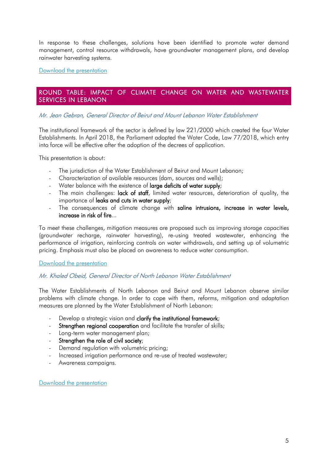In response to these challenges, solutions have been identified to promote water demand management, control resource withdrawals, have groundwater management plans, and develop rainwater harvesting systems.

[Download the presentation](https://www.pseau.org/outils/ouvrages/office_national_du_litani_climate_change_effect_on_irrigation_2018.pdf)

## ROUND TABLE: IMPACT OF CLIMATE CHANGE ON WATER AND WASTEWATER SERVICES IN LEBANON

## Mr. Jean Gebran, General Director of Beirut and Mount Lebanon Water Establishment

The institutional framework of the sector is defined by law 221/2000 which created the four Water Establishments. In April 2018, the Parliament adopted the Water Code, Law 77/2018, which entry into force will be effective after the adoption of the decrees of application.

This presentation is about:

- The jurisdiction of the Water Establishment of Beirut and Mount Lebanon;
- Characterization of available resources (dam, sources and wells);
- Water balance with the existence of large deficits of water supply;
- The main challenges: lack of staff, limited water resources, deterioration of quality, the importance of leaks and cuts in water supply;
- The consequences of climate change with saline intrusions, increase in water levels, increase in risk of fire...

To meet these challenges, mitigation measures are proposed such as improving storage capacities (groundwater recharge, rainwater harvesting), re-using treated wastewater, enhancing the performance of irrigation, reinforcing controls on water withdrawals, and setting up of volumetric pricing. Emphasis must also be placed on awareness to reduce water consumption.

## [Download the presentation](https://www.pseau.org/outils/ouvrages/etablissement_des_eaux_de_beyrouth_et_mont_liban_bmlwe_current_challenges_and_future_plans_to_mitigate_climate_change_2018.pdf)

## Mr. Khaled Obeid, General Director of North Lebanon Water Establishment

The Water Establishments of North Lebanon and Beirut and Mount Lebanon observe similar problems with climate change. In order to cope with them, reforms, mitigation and adaptation measures are planned by the Water Establishment of North Lebanon:

- Develop a strategic vision and clarify the institutional framework;
- Strengthen regional cooperation and facilitate the transfer of skills;
- Long-term water management plan;
- Strengthen the role of civil society;
- Demand regulation with volumetric pricing;
- Increased irrigation performance and re-use of treated wastewater;
- Awareness campaigns.

[Download the presentation](https://www.pseau.org/outils/ouvrages/etablissement_des_eaux_du_liban_nord_l_impact_du_changement_climatique_sur_les_services_d_eau_et_d_assainissement_au_liban_eenl_1970.pdf)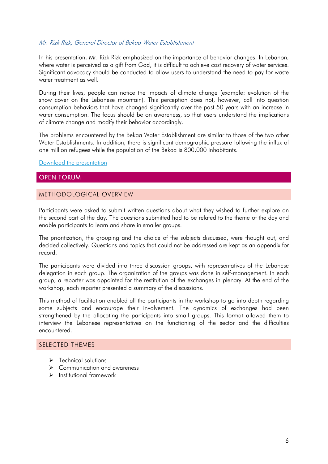## Mr. Rizk Rizk, General Director of Bekaa Water Establishment

In his presentation, Mr. Rizk Rizk emphasized on the importance of behavior changes. In Lebanon, where water is perceived as a gift from God, it is difficult to achieve cost recovery of water services. Significant advocacy should be conducted to allow users to understand the need to pay for waste water treatment as well.

During their lives, people can notice the impacts of climate change (example: evolution of the snow cover on the Lebanese mountain). This perception does not, however, call into question consumption behaviors that have changed significantly over the past 50 years with an increase in water consumption. The focus should be on awareness, so that users understand the implications of climate change and modify their behavior accordingly.

The problems encountered by the Bekaa Water Establishment are similar to those of the two other Water Establishments. In addition, there is significant demographic pressure following the influx of one million refugees while the population of the Bekaa is 800,000 inhabitants.

[Download the presentation](https://www.pseau.org/outils/ouvrages/etablissement_des_eaux_de_la_bekaa_ressources_en_eau_et_changement_climatique_etablissement_des_eaux_de_la_bekaa_2018.pdf)

## OPEN FORUM

## METHODOLOGICAL OVERVIEW

Participants were asked to submit written questions about what they wished to further explore on the second part of the day. The questions submitted had to be related to the theme of the day and enable participants to learn and share in smaller groups.

The prioritization, the grouping and the choice of the subjects discussed, were thought out, and decided collectively. Questions and topics that could not be addressed are kept as an appendix for record.

The participants were divided into three discussion groups, with representatives of the Lebanese delegation in each group. The organization of the groups was done in self-management. In each group, a reporter was appointed for the restitution of the exchanges in plenary. At the end of the workshop, each reporter presented a summary of the discussions.

This method of facilitation enabled all the participants in the workshop to go into depth regarding some subjects and encourage their involvement. The dynamics of exchanges had been strengthened by the allocating the participants into small groups. This format allowed them to interview the Lebanese representatives on the functioning of the sector and the difficulties encountered.

## SELECTED THEMES

- $\triangleright$  Technical solutions
- **►** Communication and awareness
- $\triangleright$  Institutional framework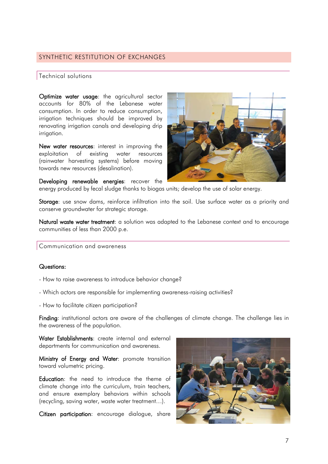## SYNTHETIC RESTITUTION OF EXCHANGES

#### Technical solutions

Optimize water usage: the agricultural sector accounts for 80% of the Lebanese water consumption. In order to reduce consumption, irrigation techniques should be improved by renovating irrigation canals and developing drip irrigation.

New water resources: interest in improving the exploitation of existing water resources (rainwater harvesting systems) before moving towards new resources (desalination).



Developing renewable energies: recover the energy produced by fecal sludge thanks to biogas units; develop the use of solar energy.

Storage: use snow dams, reinforce infiltration into the soil. Use surface water as a priority and conserve groundwater for strategic storage.

Natural waste water treatment: a solution was adapted to the Lebanese context and to encourage communities of less than 2000 p.e.

Communication and awareness

#### Questions:

- How to raise awareness to introduce behavior change?
- Which actors are responsible for implementing awareness-raising activities?
- How to facilitate citizen participation?

Finding: institutional actors are aware of the challenges of climate change. The challenge lies in the awareness of the population.

Water Establishments: create internal and external departments for communication and awareness.

Ministry of Energy and Water: promote transition toward volumetric pricing.

Education: the need to introduce the theme of climate change into the curriculum, train teachers, and ensure exemplary behaviors within schools (recycling, saving water, waste water treatment…).

Citizen participation: encourage dialogue, share

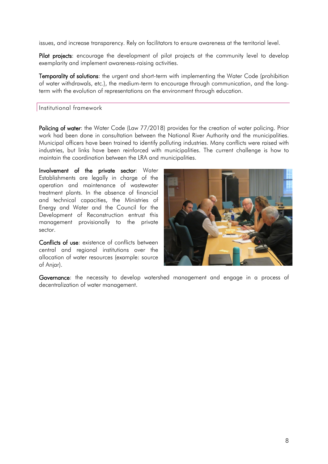issues, and increase transparency. Rely on facilitators to ensure awareness at the territorial level.

Pilot projects: encourage the development of pilot projects at the community level to develop exemplarity and implement awareness-raising activities.

Temporality of solutions: the urgent and short-term with implementing the Water Code (prohibition of water withdrawals, etc.), the medium-term to encourage through communication, and the longterm with the evolution of representations on the environment through education.

## Institutional framework

Policing of water: the Water Code (Law 77/2018) provides for the creation of water policing. Prior work had been done in consultation between the National River Authority and the municipalities. Municipal officers have been trained to identify polluting industries. Many conflicts were raised with industries, but links have been reinforced with municipalities. The current challenge is how to maintain the coordination between the LRA and municipalities.

Involvement of the private sector: Water Establishments are legally in charge of the operation and maintenance of wastewater treatment plants. In the absence of financial and technical capacities, the Ministries of Energy and Water and the Council for the Development of Reconstruction entrust this management provisionally to the private sector.

Conflicts of use: existence of conflicts between central and regional institutions over the allocation of water resources (example: source of Anjar).



Governance: the necessity to develop watershed management and engage in a process of decentralization of water management.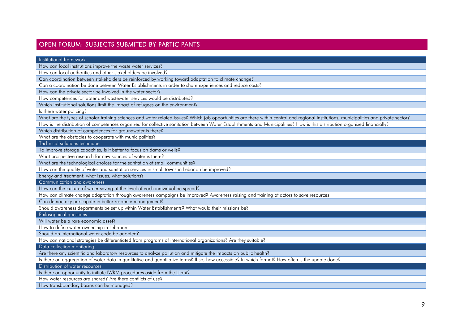## OPEN FORUM: SUBJECTS SUBMITED BY PARTICIPANTS

Institutional framework How can local institutions improve the waste water services? How can local authorities and other stakeholders be involved? Can coordination between stakeholders be reinforced by working toward adaptation to climate change? Can a coordination be done between Water Establishments in order to share experiences and reduce costs? How can the private sector be involved in the water sector? How competences for water and wastewater services would be distributed? Which institutional solutions limit the impact of refugees on the environment? Is there water policing? What are the types of scholar training sciences and water related issues? Which job opportunities are there within central and regional institutions, municipalities and private sector? How is the distribution of competences organized for collective sanitation between Water Establishments and Municipalities? How is this distribution organized financially? Which distribution of competences for groundwater is there? What are the obstacles to cooperate with municipalities? Technical solutions technique To improve storage capacities, is it better to focus on dams or wells? What prospective research for new sources of water is there? What are the technological choices for the sanitation of small communities? How can the quality of water and sanitation services in small towns in Lebanon be improved? Energy and treatment: what issues, what solutions? Communication and awareness How can the culture of water saving at the level of each individual be spread? How can climate change adaptation through awareness campaigns be improved? Awareness raising and training of actors to save resources Can democracy participate in better resource management? Should awareness departments be set up within Water Establishments? What would their missions be? Philosophical questions Will water be a rare economic asset? How to define water ownership in Lebanon Should an international water code be adopted? How can national strategies be differentiated from programs of international organizations? Are they suitable? Data collection monitoring Are there any scientific and laboratory resources to analyze pollution and mitigate the impacts on public health? Is there an aggregation of water data in qualitative and quantitative terms? If so, how accessible? In which format? How often is the update done?

Distribution of water resources

Is there an opportunity to initiate IWRM procedures aside from the Litani?

How water resources are shared? Are there conflicts of use?

How transboundary basins can be managed?